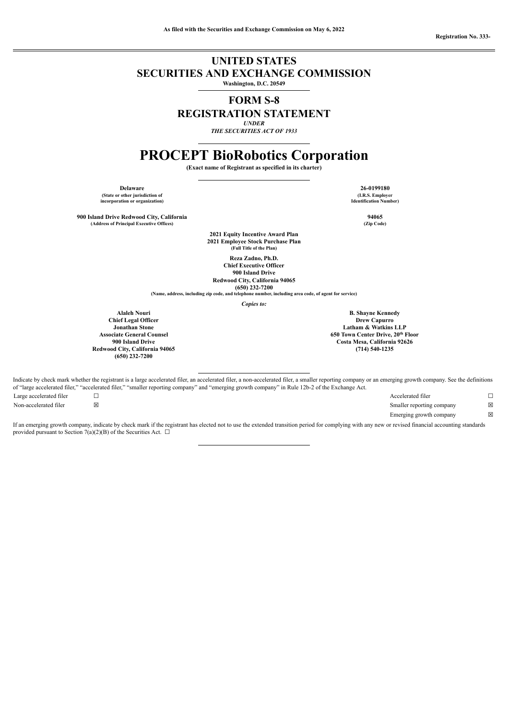## **UNITED STATES SECURITIES AND EXCHANGE COMMISSION**

**Washington, D.C. 20549**

# **FORM S-8**

# **REGISTRATION STATEMENT**

*UNDER*

*THE SECURITIES ACT OF 1933*

# **PROCEPT BioRobotics Corporation**

**(Exact name of Registrant as specified in its charter)**

**Delaware 26-0199180 (State or other jurisdiction of incorporation or organization)**

**900 Island Drive Redwood City, California 94065 (Address of Principal Executive Offices) (Zip Code)**

> **2021 Equity Incentive Award Plan 2021 Employee Stock Purchase Plan (Full Title of the Plan)**

**Reza Zadno, Ph.D. Chief Executive Officer 900 Island Drive Redwood City, California 94065**

**(650) 232-7200 (Name, address, including zip code, and telephone number, including area code, of agent for service)**

*Copies to:*

**Alaleh Nouri Chief Legal Officer Jonathan Stone Associate General Counsel 900 Island Drive Redwood City, California 94065 (650) 232-7200**

Indicate by check mark whether the registrant is a large accelerated filer, an accelerated filer, a non-accelerated filer, a smaller reporting company or an emerging growth company. See the definitions of "large accelerated filer," "accelerated filer," "smaller reporting company" and "emerging growth company" in Rule 12b-2 of the Exchange Act.

Large accelerated filer □ □ Accelerated filer □ □ Non-accelerated filer ⊠ <br>
⊠ Smaller reporting company ⊠ Emerging growth company  $\boxtimes$ 

If an emerging growth company, indicate by check mark if the registrant has elected not to use the extended transition period for complying with any new or revised financial accounting standards provided pursuant to Section 7(a)(2)(B) of the Securities Act.  $\Box$ 

**(I.R.S. Employer Identification Number)**

**B. Shayne Kennedy Drew Capurro Latham & Watkins LLP 650 Town Center Drive, 20 Floor thCosta Mesa, California 92626 (714) 540-1235**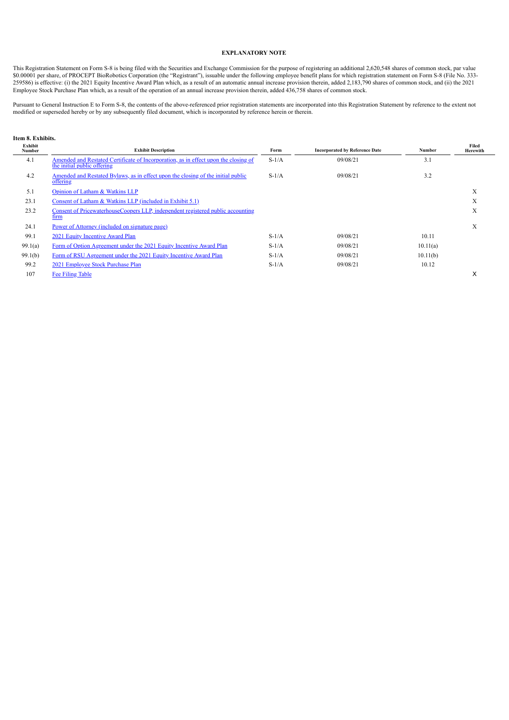## **EXPLANATORY NOTE**

This Registration Statement on Form S-8 is being filed with the Securities and Exchange Commission for the purpose of registering an additional 2,620,548 shares of common stock, par value \$0.00001 per share, of PROCEPT BioRobotics Corporation (the "Registrant"), issuable under the following employee benefit plans for which registration statement on Form S-8 (File No. 333- 259586) is effective: (i) the 2021 Equity Incentive Award Plan which, as a result of an automatic annual increase provision therein, added 2,183,790 shares of common stock, and (ii) the 2021 Employee Stock Purchase Plan which, as a result of the operation of an annual increase provision therein, added 436,758 shares of common stock.

Pursuant to General Instruction E to Form S-8, the contents of the above-referenced prior registration statements are incorporated into this Registration Statement by reference to the extent not modified or superseded hereby or by any subsequently filed document, which is incorporated by reference herein or therein.

## **Item 8. Exhibits.**

<span id="page-1-0"></span>

| Exhibit<br><b>Number</b> | <b>Exhibit Description</b>                                                                                         | Form    | <b>Incorporated by Reference Date</b> | Number   | Filed<br>Herewith |
|--------------------------|--------------------------------------------------------------------------------------------------------------------|---------|---------------------------------------|----------|-------------------|
| 4.1                      | Amended and Restated Certificate of Incorporation, as in effect upon the closing of<br>the initial public offering | $S-1/A$ | 09/08/21                              | 3.1      |                   |
| 4.2                      | <u>Amended and Restated Bylaws, as in effect upon the closing of the initial public</u><br>offering                | $S-1/A$ | 09/08/21                              | 3.2      |                   |
| 5.1                      | Opinion of Latham & Watkins LLP                                                                                    |         |                                       |          | X                 |
| 23.1                     | Consent of Latham & Watkins LLP (included in Exhibit 5.1)                                                          |         |                                       |          | X                 |
| 23.2                     | Consent of PricewaterhouseCoopers LLP, independent registered public accounting<br>tırm                            |         |                                       |          | X                 |
| 24.1                     | <u>Power of Attorney (included on signature page)</u>                                                              |         |                                       |          | X                 |
| 99.1                     | 2021 Equity Incentive Award Plan                                                                                   | $S-1/A$ | 09/08/21                              | 10.11    |                   |
| 99.1(a)                  | Form of Option Agreement under the 2021 Equity Incentive Award Plan                                                | $S-1/A$ | 09/08/21                              | 10.11(a) |                   |
| 99.1(b)                  | Form of RSU Agreement under the 2021 Equity Incentive Award Plan                                                   | $S-1/A$ | 09/08/21                              | 10.11(b) |                   |
| 99.2                     | 2021 Employee Stock Purchase Plan                                                                                  | $S-1/A$ | 09/08/21                              | 10.12    |                   |
| 107                      | <b>Fee Filing Table</b>                                                                                            |         |                                       |          | X                 |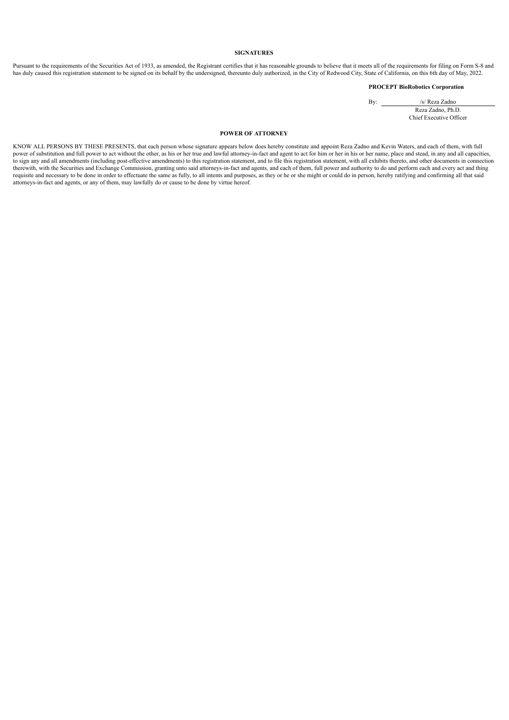## **SIGNATURES**

Pursuant to the requirements of the Securities Act of 1933, as amended, the Registrant certifies that it has reasonable grounds to believe that it meets all of the requirements for filing on Form S-8 and has duly caused this registration statement to be signed on its behalf by the undersigned, thereunto duly authorized, in the City of Redwood City, State of California, on this 6th day of May, 2022.

## **PROCEPT BioRobotics Corporation**

By: /s/ Reza Zadno

Reza Zadno, Ph.D. Chief Executive Officer

#### **POWER OF ATTORNEY**

KNOW ALL PERSONS BY THESE PRESENTS, that each person whose signature appears below does hereby constitute and appoint Reza Zadno and Kevin Waters, and each of them, with full power of substitution and full power to act without the other, as his or her true and lawful attorney-in-fact and agent to act for him or her in his or her name, place and stead, in any and all capacities, to sign any and all amendments (including post-effective amendments) to this registration statement, and to file this registration statement, with all exhibits thereto, and other documents in connection therewith, with the Securities and Exchange Commission, granting unto said attorneys-in-fact and agents, and each of them, full power and authority to do and perform each and every act and thing requisite and necessary to be done in order to effectuate the same as fully, to all intents and purposes, as they or he or she might or could do in person, hereby ratifying and confirming all that said attorneys-in-fact and agents, or any of them, may lawfully do or cause to be done by virtue hereof.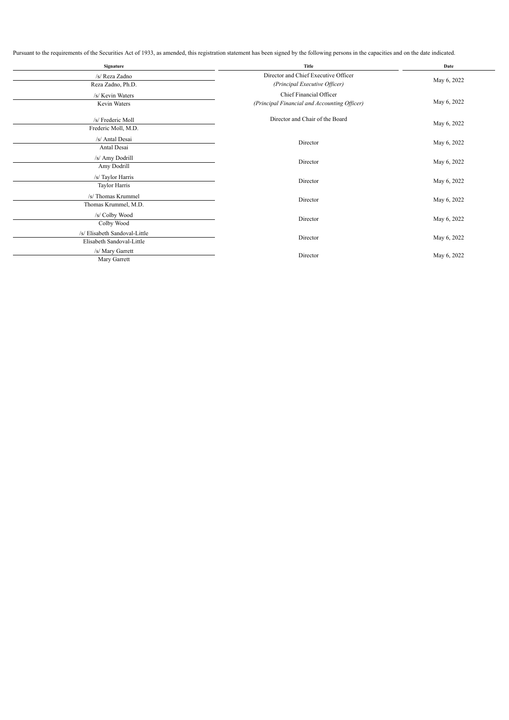Pursuant to the requirements of the Securities Act of 1933, as amended, this registration statement has been signed by the following persons in the capacities and on the date indicated.

| Signature                                                  | Title                                                                   | Date        |  |
|------------------------------------------------------------|-------------------------------------------------------------------------|-------------|--|
| /s/ Reza Zadno                                             | Director and Chief Executive Officer                                    | May 6, 2022 |  |
| Reza Zadno, Ph.D.                                          | (Principal Executive Officer)                                           |             |  |
| /s/ Kevin Waters<br>Kevin Waters                           | Chief Financial Officer<br>(Principal Financial and Accounting Officer) | May 6, 2022 |  |
| /s/ Frederic Moll<br>Frederic Moll, M.D.                   | Director and Chair of the Board                                         | May 6, 2022 |  |
| /s/ Antal Desai<br>Antal Desai                             | Director                                                                | May 6, 2022 |  |
| /s/ Amy Dodrill<br>Amy Dodrill                             | Director                                                                | May 6, 2022 |  |
| /s/ Taylor Harris<br>Taylor Harris                         | Director                                                                | May 6, 2022 |  |
| /s/ Thomas Krummel<br>Thomas Krummel, M.D.                 | Director                                                                | May 6, 2022 |  |
| /s/ Colby Wood<br>Colby Wood                               | Director                                                                | May 6, 2022 |  |
| /s/ Elisabeth Sandoval-Little<br>Elisabeth Sandoval-Little | Director                                                                | May 6, 2022 |  |
| /s/ Mary Garrett<br>Mary Garrett                           | Director                                                                | May 6, 2022 |  |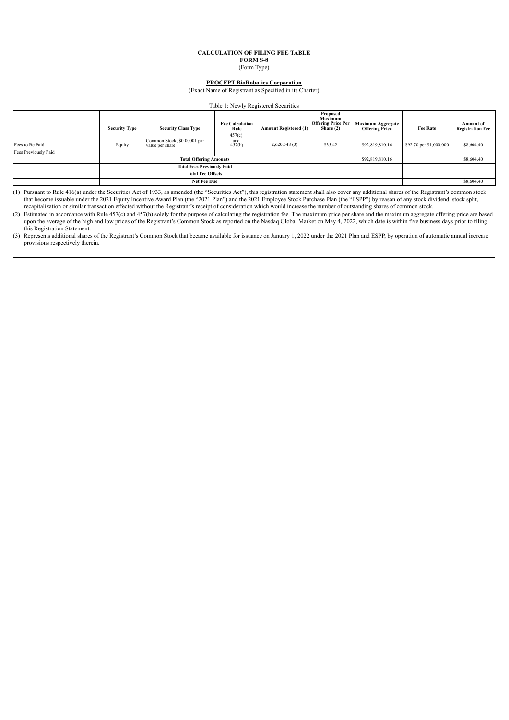## **CALCULATION OF FILING FEE TABLE FORM S-8**

(Form Type)

## **PROCEPT BioRobotics Corporation**

(Exact Name of Registrant as Specified in its Charter)

#### Table 1: Newly Registered Securities

<span id="page-4-0"></span>

|                      | <b>Security Type</b>              | <b>Security Class Type</b>                     | <b>Fee Calculation</b><br>Rule | <b>Amount Registered (1)</b> | Proposed<br>Maximum<br><b>Offering Price Per</b><br>Share $(2)$ | <b>Maximum Aggregate</b><br><b>Offering Price</b> | <b>Fee Rate</b>         | <b>Amount</b> of<br><b>Registration Fee</b> |
|----------------------|-----------------------------------|------------------------------------------------|--------------------------------|------------------------------|-----------------------------------------------------------------|---------------------------------------------------|-------------------------|---------------------------------------------|
| Fees to Be Paid      | Equity                            | Common Stock; \$0.00001 par<br>value per share | 457(c)<br>and<br>457(h)        | 2,620,548(3)                 | \$35.42                                                         | \$92,819,810.16                                   | \$92.70 per \$1,000,000 | \$8,604.40                                  |
| Fees Previously Paid |                                   |                                                |                                |                              |                                                                 |                                                   |                         |                                             |
|                      | <b>Total Offering Amounts</b>     |                                                |                                |                              | \$92,819,810.16                                                 |                                                   | \$8,604.40              |                                             |
|                      | <b>Total Fees Previously Paid</b> |                                                |                                |                              |                                                                 |                                                   |                         |                                             |
|                      | <b>Total Fee Offsets</b>          |                                                |                                |                              |                                                                 |                                                   |                         | __                                          |
|                      | <b>Net Fee Due</b>                |                                                |                                |                              |                                                                 |                                                   |                         | \$8,604.40                                  |

(1) Pursuant to Rule 416(a) under the Securities Act of 1933, as amended (the "Securities Act"), this registration statement shall also cover any additional shares of the Registrant's common stock that become issuable under the 2021 Equity Incentive Award Plan (the "2021 Plan") and the 2021 Employee Stock Purchase Plan (the "ESPP") by reason of any stock dividend, stock split, recapitalization or similar transaction effected without the Registrant's receipt of consideration which would increase the number of outstanding shares of common stock.

(2) Estimated in accordance with Rule 457(c) and 457(h) solely for the purpose of calculating the registration fee. The maximum price per share and the maximum aggregate offering price are based upon the average of the high and low prices of the Registrant's Common Stock as reported on the Nasdaq Global Market on May 4, 2022, which date is within five business days prior to filing this Registration Statement.

(3) Represents additional shares of the Registrant's Common Stock that became available for issuance on January 1, 2022 under the 2021 Plan and ESPP, by operation of automatic annual increase provisions respectively therein.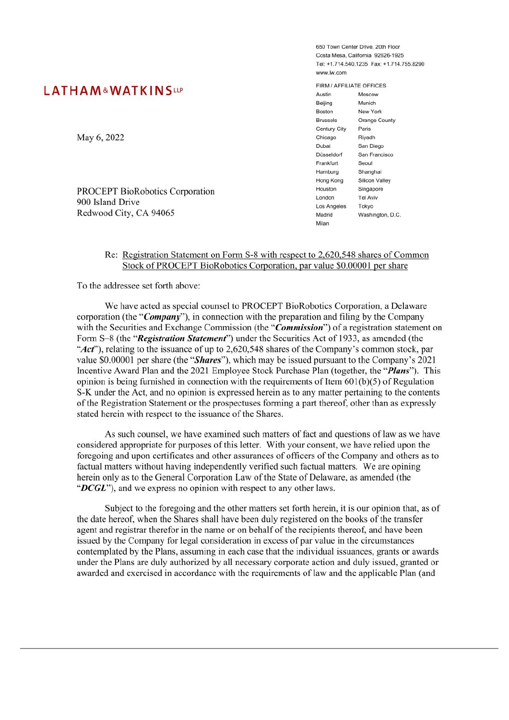# <span id="page-5-0"></span>**LATHAM&WATKINSLLP**

May 6, 2022

**PROCEPT BioRobotics Corporation** 900 Island Drive Redwood City, CA 94065

650 Town Center Drive 20th Eloon Costa Mesa, California 92626-1925 Tel: +1 714 540 1235 Fax: +1 714 755 8290 www.lw.com

FIRM / AFFILIATE OFFICES Austin Moscow Beijing Munich **Boston** New York Orange County **Brussels** Century City Paris Chicago Rivadh Dubai San Diego San Francisco Düsseldorf Frankfurt Seoul Hamburg Shanghai Hong Kong Silicon Valley Houston Singapore **Tel Aviv** London Los Angeles Tokyo Madrid Washington, D.C. Milan

## Re: Registration Statement on Form S-8 with respect to 2,620,548 shares of Common Stock of PROCEPT BioRobotics Corporation, par value \$0.00001 per share

To the addressee set forth above:

We have acted as special counsel to PROCEPT BioRobotics Corporation, a Delaware corporation (the "*Company*"), in connection with the preparation and filing by the Company with the Securities and Exchange Commission (the "Commission") of a registration statement on Form S-8 (the "Registration Statement") under the Securities Act of 1933, as amended (the "Act"), relating to the issuance of up to 2,620,548 shares of the Company's common stock, par value \$0.00001 per share (the "Shares"), which may be issued pursuant to the Company's 2021 Incentive Award Plan and the 2021 Employee Stock Purchase Plan (together, the "*Plans*"). This opinion is being furnished in connection with the requirements of Item  $601(b)(5)$  of Regulation S-K under the Act, and no opinion is expressed herein as to any matter pertaining to the contents of the Registration Statement or the prospectuses forming a part thereof, other than as expressly stated herein with respect to the issuance of the Shares.

As such counsel, we have examined such matters of fact and questions of law as we have considered appropriate for purposes of this letter. With your consent, we have relied upon the foregoing and upon certificates and other assurances of officers of the Company and others as to factual matters without having independently verified such factual matters. We are opining herein only as to the General Corporation Law of the State of Delaware, as amended (the "DCGL"), and we express no opinion with respect to any other laws.

Subject to the foregoing and the other matters set forth herein, it is our opinion that, as of the date hereof, when the Shares shall have been duly registered on the books of the transfer agent and registrar therefor in the name or on behalf of the recipients thereof, and have been issued by the Company for legal consideration in excess of par value in the circumstances contemplated by the Plans, assuming in each case that the individual issuances, grants or awards under the Plans are duly authorized by all necessary corporate action and duly issued, granted or awarded and exercised in accordance with the requirements of law and the applicable Plan (and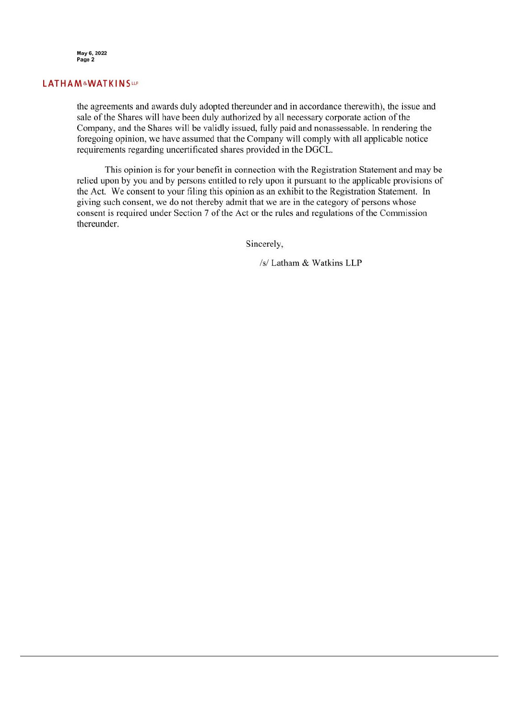

## **LATHAM&WATKINSLLP**

the agreements and awards duly adopted thereunder and in accordance therewith), the issue and sale of the Shares will have been duly authorized by all necessary corporate action of the Company, and the Shares will be validly issued, fully paid and nonassessable. In rendering the foregoing opinion, we have assumed that the Company will comply with all applicable notice requirements regarding uncertificated shares provided in the DGCL.

This opinion is for your benefit in connection with the Registration Statement and may be relied upon by you and by persons entitled to rely upon it pursuant to the applicable provisions of the Act. We consent to your filing this opinion as an exhibit to the Registration Statement. In giving such consent, we do not thereby admit that we are in the category of persons whose consent is required under Section 7 of the Act or the rules and regulations of the Commission thereunder.

Sincerely,

/s/ Latham & Watkins LLP